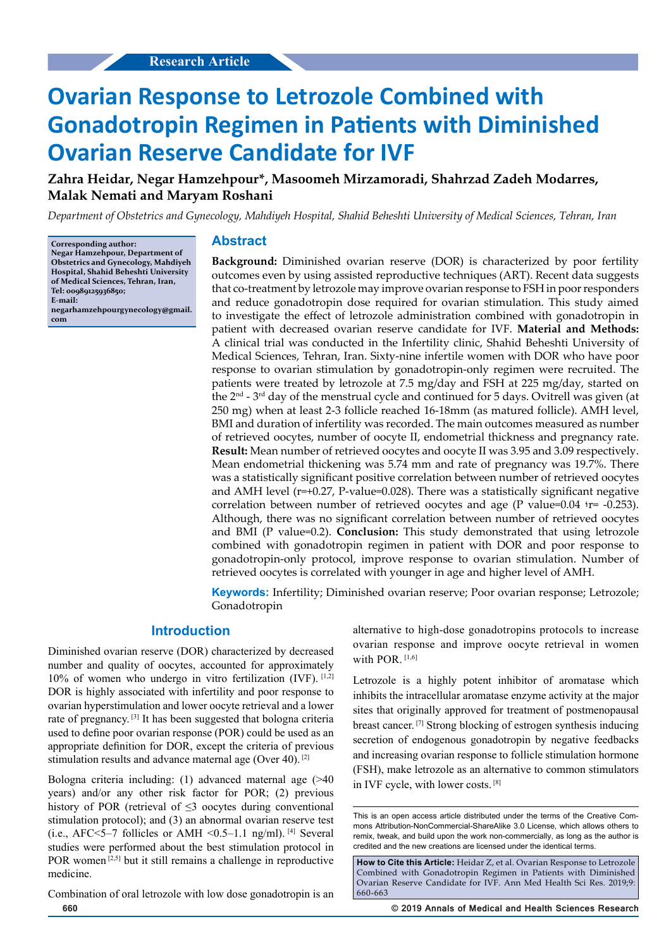# **Ovarian Response to Letrozole Combined with Gonadotropin Regimen in Patients with Diminished Ovarian Reserve Candidate for IVF**

**Zahra Heidar, Negar Hamzehpour\*, Masoomeh Mirzamoradi, Shahrzad Zadeh Modarres, Malak Nemati and Maryam Roshani**

*Department of Obstetrics and Gynecology, Mahdiyeh Hospital, Shahid Beheshti University of Medical Sciences, Tehran, Iran*

**Corresponding author: Negar Hamzehpour, Department of Obstetrics and Gynecology, Mahdiyeh Hospital, Shahid Beheshti University of Medical Sciences, Tehran, Iran, Tel: 00989125936850; E-mail: negarhamzehpourgynecology@gmail. com**

## **Abstract**

**Background:** Diminished ovarian reserve (DOR) is characterized by poor fertility outcomes even by using assisted reproductive techniques (ART). Recent data suggests that co-treatment by letrozole may improve ovarian response to FSH in poor responders and reduce gonadotropin dose required for ovarian stimulation. This study aimed to investigate the effect of letrozole administration combined with gonadotropin in patient with decreased ovarian reserve candidate for IVF. **Material and Methods:** A clinical trial was conducted in the Infertility clinic, Shahid Beheshti University of Medical Sciences, Tehran, Iran. Sixty-nine infertile women with DOR who have poor response to ovarian stimulation by gonadotropin-only regimen were recruited. The patients were treated by letrozole at 7.5 mg/day and FSH at 225 mg/day, started on the 2<sup>nd</sup> - 3<sup>rd</sup> day of the menstrual cycle and continued for 5 days. Ovitrell was given (at 250 mg) when at least 2-3 follicle reached 16-18mm (as matured follicle). AMH level, BMI and duration of infertility was recorded. The main outcomes measured as number of retrieved oocytes, number of oocyte II, endometrial thickness and pregnancy rate. **Result:** Mean number of retrieved oocytes and oocyte II was 3.95 and 3.09 respectively. Mean endometrial thickening was 5.74 mm and rate of pregnancy was 19.7%. There was a statistically significant positive correlation between number of retrieved oocytes and AMH level (r=+0.27, P-value=0.028). There was a statistically significant negative correlation between number of retrieved oocytes and age (P value=0.04  $r = -0.253$ ). Although, there was no significant correlation between number of retrieved oocytes and BMI (P value=0.2). **Conclusion:** This study demonstrated that using letrozole combined with gonadotropin regimen in patient with DOR and poor response to gonadotropin-only protocol, improve response to ovarian stimulation. Number of retrieved oocytes is correlated with younger in age and higher level of AMH.

**Keywords:** Infertility; Diminished ovarian reserve; Poor ovarian response; Letrozole; Gonadotropin

### **Introduction**

Diminished ovarian reserve (DOR) characterized by decreased number and quality of oocytes, accounted for approximately  $10\%$  of women who undergo in vitro fertilization (IVF).  $[1,2]$ DOR is highly associated with infertility and poor response to ovarian hyperstimulation and lower oocyte retrieval and a lower rate of pregnancy. [3] It has been suggested that bologna criteria used to define poor ovarian response (POR) could be used as an appropriate definition for DOR, except the criteria of previous stimulation results and advance maternal age (Over 40). [2]

Bologna criteria including: (1) advanced maternal age (>40 years) and/or any other risk factor for POR; (2) previous history of POR (retrieval of  $\leq$ 3 oocytes during conventional stimulation protocol); and (3) an abnormal ovarian reserve test (i.e., AFC $\leq$ 5–7 follicles or AMH $\leq$ 0.5–1.1 ng/ml). [4] Several studies were performed about the best stimulation protocol in POR women<sup>[2,5]</sup> but it still remains a challenge in reproductive medicine.

Combination of oral letrozole with low dose gonadotropin is an

alternative to high-dose gonadotropins protocols to increase ovarian response and improve oocyte retrieval in women with POR $[1,6]$ 

Letrozole is a highly potent inhibitor of aromatase which inhibits the intracellular aromatase enzyme activity at the major sites that originally approved for treatment of postmenopausal breast cancer. [7] Strong blocking of estrogen synthesis inducing secretion of endogenous gonadotropin by negative feedbacks and increasing ovarian response to follicle stimulation hormone (FSH), make letrozole as an alternative to common stimulators in IVF cycle, with lower costs. [8]

This is an open access article distributed under the terms of the Creative Com‑ mons Attribution‑NonCommercial‑ShareAlike 3.0 License, which allows others to remix, tweak, and build upon the work non‑commercially, as long as the author is credited and the new creations are licensed under the identical terms.

**How to Cite this Article:** Heidar Z, et al. Ovarian Response to Letrozole Combined with Gonadotropin Regimen in Patients with Diminished Ovarian Reserve Candidate for IVF. Ann Med Health Sci Res. 2019;9: 660-663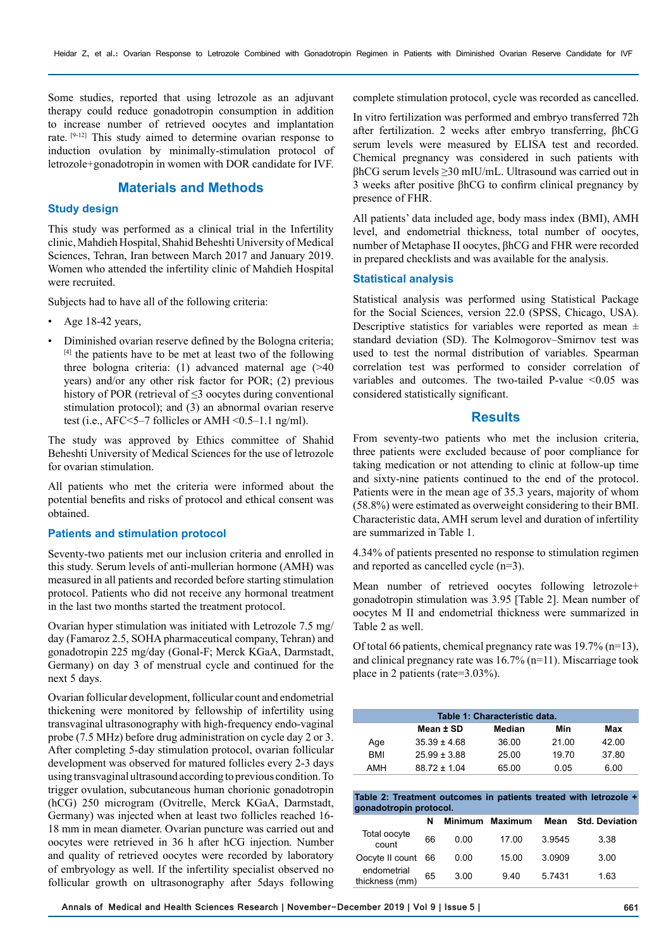Some studies, reported that using letrozole as an adjuvant therapy could reduce gonadotropin consumption in addition to increase number of retrieved oocytes and implantation rate. [9-12] This study aimed to determine ovarian response to induction ovulation by minimally-stimulation protocol of letrozole+gonadotropin in women with DOR candidate for IVF.

## **Materials and Methods**

#### **Study design**

This study was performed as a clinical trial in the Infertility clinic, Mahdieh Hospital, Shahid Beheshti University of Medical Sciences, Tehran, Iran between March 2017 and January 2019. Women who attended the infertility clinic of Mahdieh Hospital were recruited.

Subjects had to have all of the following criteria:

- Age 18-42 years,
- Diminished ovarian reserve defined by the Bologna criteria;  $[4]$  the patients have to be met at least two of the following three bologna criteria: (1) advanced maternal age (>40 years) and/or any other risk factor for POR; (2) previous history of POR (retrieval of  $\leq$ 3 oocytes during conventional stimulation protocol); and (3) an abnormal ovarian reserve test (i.e.,  $AFC \leq 5-7$  follicles or  $AMH \leq 0.5-1.1$  ng/ml).

The study was approved by Ethics committee of Shahid Beheshti University of Medical Sciences for the use of letrozole for ovarian stimulation.

All patients who met the criteria were informed about the potential benefits and risks of protocol and ethical consent was obtained.

#### **Patients and stimulation protocol**

Seventy-two patients met our inclusion criteria and enrolled in this study. Serum levels of anti-mullerian hormone (AMH) was measured in all patients and recorded before starting stimulation protocol. Patients who did not receive any hormonal treatment in the last two months started the treatment protocol.

Ovarian hyper stimulation was initiated with Letrozole 7.5 mg/ day (Famaroz 2.5, SOHA pharmaceutical company, Tehran) and gonadotropin 225 mg/day (Gonal-F; Merck KGaA, Darmstadt, Germany) on day 3 of menstrual cycle and continued for the next 5 days.

Ovarian follicular development, follicular count and endometrial thickening were monitored by fellowship of infertility using transvaginal ultrasonography with high-frequency endo-vaginal probe (7.5 MHz) before drug administration on cycle day 2 or 3. After completing 5-day stimulation protocol, ovarian follicular development was observed for matured follicles every 2-3 days using transvaginal ultrasound according to previous condition. To trigger ovulation, subcutaneous human chorionic gonadotropin (hCG) 250 microgram (Ovitrelle, Merck KGaA, Darmstadt, Germany) was injected when at least two follicles reached 16- 18 mm in mean diameter. Ovarian puncture was carried out and oocytes were retrieved in 36 h after hCG injection. Number and quality of retrieved oocytes were recorded by laboratory of embryology as well. If the infertility specialist observed no follicular growth on ultrasonography after 5days following complete stimulation protocol, cycle was recorded as cancelled.

In vitro fertilization was performed and embryo transferred 72h after fertilization. 2 weeks after embryo transferring, βhCG serum levels were measured by ELISA test and recorded. Chemical pregnancy was considered in such patients with βhCG serum levels ≥30 mIU/mL. Ultrasound was carried out in 3 weeks after positive βhCG to confirm clinical pregnancy by presence of FHR.

All patients' data included age, body mass index (BMI), AMH level, and endometrial thickness, total number of oocytes, number of Metaphase II oocytes, βhCG and FHR were recorded in prepared checklists and was available for the analysis.

#### **Statistical analysis**

Statistical analysis was performed using Statistical Package for the Social Sciences, version 22.0 (SPSS, Chicago, USA). Descriptive statistics for variables were reported as mean  $\pm$ standard deviation (SD). The Kolmogorov–Smirnov test was used to test the normal distribution of variables. Spearman correlation test was performed to consider correlation of variables and outcomes. The two-tailed P-value  $\leq 0.05$  was considered statistically significant.

#### **Results**

From seventy-two patients who met the inclusion criteria, three patients were excluded because of poor compliance for taking medication or not attending to clinic at follow-up time and sixty-nine patients continued to the end of the protocol. Patients were in the mean age of 35.3 years, majority of whom (58.8%) were estimated as overweight considering to their BMI. Characteristic data, AMH serum level and duration of infertility are summarized in Table 1.

4.34% of patients presented no response to stimulation regimen and reported as cancelled cycle (n=3).

Mean number of retrieved oocytes following letrozole+ gonadotropin stimulation was 3.95 [Table 2]. Mean number of oocytes M II and endometrial thickness were summarized in Table 2 as well.

Of total 66 patients, chemical pregnancy rate was 19.7% (n=13), and clinical pregnancy rate was 16.7% (n=11). Miscarriage took place in 2 patients (rate=3.03%).

| Table 1: Characteristic data. |                  |        |       |       |  |  |  |
|-------------------------------|------------------|--------|-------|-------|--|--|--|
|                               | Mean ± SD        | Median | Min   | Max   |  |  |  |
| Age                           | $35.39 \pm 4.68$ | 36.00  | 21.00 | 42.00 |  |  |  |
| <b>BMI</b>                    | $25.99 \pm 3.88$ | 25.00  | 19.70 | 37.80 |  |  |  |
| AMH                           | $88.72 \pm 1.04$ | 65.00  | 0.05  | 6.00  |  |  |  |

| Table 2: Treatment outcomes in patients treated with letrozole + |  |  |
|------------------------------------------------------------------|--|--|
| gonadotropin protocol.                                           |  |  |

|                               | N  |      | Minimum Maximum | Mean   | <b>Std. Deviation</b> |
|-------------------------------|----|------|-----------------|--------|-----------------------|
| Total oocyte<br>count         | 66 | 0.00 | 17.00           | 3.9545 | 3.38                  |
| Oocyte II count 66            |    | 0.00 | 15.00           | 3.0909 | 3.00                  |
| endometrial<br>thickness (mm) | 65 | 3.00 | 9.40            | 5.7431 | 1.63                  |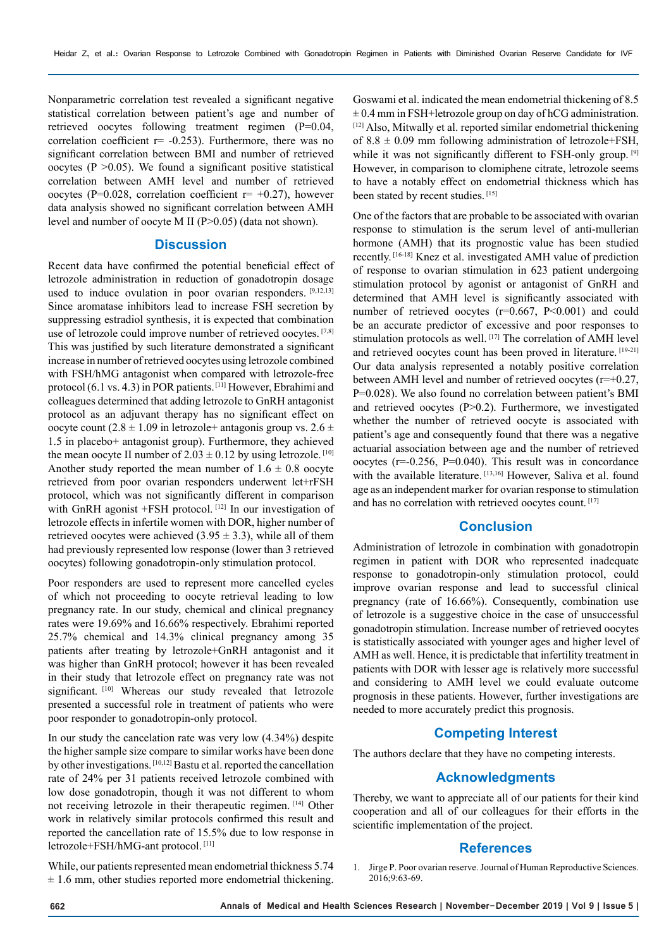Nonparametric correlation test revealed a significant negative statistical correlation between patient's age and number of retrieved oocytes following treatment regimen (P=0.04, correlation coefficient  $r = -0.253$ ). Furthermore, there was no significant correlation between BMI and number of retrieved oocytes ( $P > 0.05$ ). We found a significant positive statistical correlation between AMH level and number of retrieved oocytes (P=0.028, correlation coefficient  $r=+0.27$ ), however data analysis showed no significant correlation between AMH level and number of oocyte M II (P>0.05) (data not shown).

#### **Discussion**

Recent data have confirmed the potential beneficial effect of letrozole administration in reduction of gonadotropin dosage used to induce ovulation in poor ovarian responders. [9,12,13] Since aromatase inhibitors lead to increase FSH secretion by suppressing estradiol synthesis, it is expected that combination use of letrozole could improve number of retrieved oocytes. [7,8] This was justified by such literature demonstrated a significant increase in number of retrieved oocytes using letrozole combined with FSH/hMG antagonist when compared with letrozole-free protocol (6.1 vs. 4.3) in POR patients. [11] However, Ebrahimi and colleagues determined that adding letrozole to GnRH antagonist protocol as an adjuvant therapy has no significant effect on oocyte count (2.8  $\pm$  1.09 in letrozole+ antagonis group vs. 2.6  $\pm$ 1.5 in placebo+ antagonist group). Furthermore, they achieved the mean oocyte II number of  $2.03 \pm 0.12$  by using letrozole. [10] Another study reported the mean number of  $1.6 \pm 0.8$  oocyte retrieved from poor ovarian responders underwent let+rFSH protocol, which was not significantly different in comparison with GnRH agonist +FSH protocol. [12] In our investigation of letrozole effects in infertile women with DOR, higher number of retrieved oocytes were achieved  $(3.95 \pm 3.3)$ , while all of them had previously represented low response (lower than 3 retrieved oocytes) following gonadotropin-only stimulation protocol.

Poor responders are used to represent more cancelled cycles of which not proceeding to oocyte retrieval leading to low pregnancy rate. In our study, chemical and clinical pregnancy rates were 19.69% and 16.66% respectively. Ebrahimi reported 25.7% chemical and 14.3% clinical pregnancy among 35 patients after treating by letrozole+GnRH antagonist and it was higher than GnRH protocol; however it has been revealed in their study that letrozole effect on pregnancy rate was not significant. <a>[10]</a> Whereas our study revealed that letrozole presented a successful role in treatment of patients who were poor responder to gonadotropin-only protocol.

In our study the cancelation rate was very low (4.34%) despite the higher sample size compare to similar works have been done by other investigations. [10,12] Bastu et al. reported the cancellation rate of 24% per 31 patients received letrozole combined with low dose gonadotropin, though it was not different to whom not receiving letrozole in their therapeutic regimen. [14] Other work in relatively similar protocols confirmed this result and reported the cancellation rate of 15.5% due to low response in letrozole+FSH/hMG-ant protocol. [11]

While, our patients represented mean endometrial thickness 5.74  $±$  1.6 mm, other studies reported more endometrial thickening.

Goswami et al. indicated the mean endometrial thickening of 8.5  $\pm$  0.4 mm in FSH+letrozole group on day of hCG administration. [12] Also, Mitwally et al. reported similar endometrial thickening of  $8.8 \pm 0.09$  mm following administration of letrozole+FSH, while it was not significantly different to FSH-only group. [9] However, in comparison to clomiphene citrate, letrozole seems to have a notably effect on endometrial thickness which has been stated by recent studies. [15]

One of the factors that are probable to be associated with ovarian response to stimulation is the serum level of anti-mullerian hormone (AMH) that its prognostic value has been studied recently. [16-18] Knez et al. investigated AMH value of prediction of response to ovarian stimulation in 623 patient undergoing stimulation protocol by agonist or antagonist of GnRH and determined that AMH level is significantly associated with number of retrieved oocytes  $(r=0.667, P<0.001)$  and could be an accurate predictor of excessive and poor responses to stimulation protocols as well. [17] The correlation of AMH level and retrieved oocytes count has been proved in literature. [19-21] Our data analysis represented a notably positive correlation between AMH level and number of retrieved oocytes (r=+0.27, P=0.028). We also found no correlation between patient's BMI and retrieved oocytes  $(P>0.2)$ . Furthermore, we investigated whether the number of retrieved oocyte is associated with patient's age and consequently found that there was a negative actuarial association between age and the number of retrieved oocytes (r=-0.256, P=0.040). This result was in concordance with the available literature. [13,16] However, Saliva et al. found age as an independent marker for ovarian response to stimulation and has no correlation with retrieved oocytes count. [17]

# **Conclusion**

Administration of letrozole in combination with gonadotropin regimen in patient with DOR who represented inadequate response to gonadotropin-only stimulation protocol, could improve ovarian response and lead to successful clinical pregnancy (rate of 16.66%). Consequently, combination use of letrozole is a suggestive choice in the case of unsuccessful gonadotropin stimulation. Increase number of retrieved oocytes is statistically associated with younger ages and higher level of AMH as well. Hence, it is predictable that infertility treatment in patients with DOR with lesser age is relatively more successful and considering to AMH level we could evaluate outcome prognosis in these patients. However, further investigations are needed to more accurately predict this prognosis.

## **Competing Interest**

The authors declare that they have no competing interests.

## **Acknowledgments**

Thereby, we want to appreciate all of our patients for their kind cooperation and all of our colleagues for their efforts in the scientific implementation of the project.

#### **References**

1. Jirge P. Poor ovarian reserve. Journal of Human Reproductive Sciences. 2016;9:63-69.